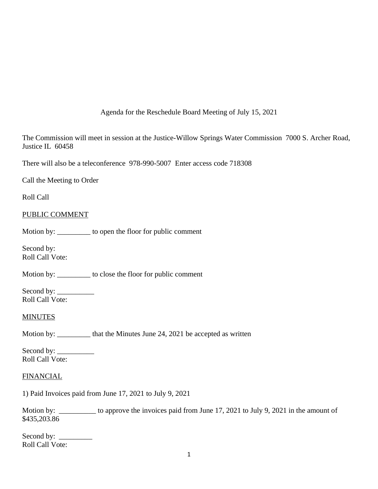Agenda for the Reschedule Board Meeting of July 15, 2021

The Commission will meet in session at the Justice-Willow Springs Water Commission 7000 S. Archer Road, Justice IL 60458

There will also be a teleconference 978-990-5007 Enter access code 718308

Call the Meeting to Order

Roll Call

### PUBLIC COMMENT

Motion by: \_\_\_\_\_\_\_\_\_ to open the floor for public comment

Second by: Roll Call Vote:

Motion by: \_\_\_\_\_\_\_\_\_ to close the floor for public comment

Second by: \_\_\_\_\_\_\_\_\_\_ Roll Call Vote:

#### **MINUTES**

Motion by: \_\_\_\_\_\_\_\_\_\_ that the Minutes June 24, 2021 be accepted as written

Second by: \_\_\_\_\_\_\_\_\_\_ Roll Call Vote:

### **FINANCIAL**

1) Paid Invoices paid from June 17, 2021 to July 9, 2021

Motion by: \_\_\_\_\_\_\_\_\_\_ to approve the invoices paid from June 17, 2021 to July 9, 2021 in the amount of \$435,203.86

Second by: \_\_\_\_\_\_\_\_\_ Roll Call Vote: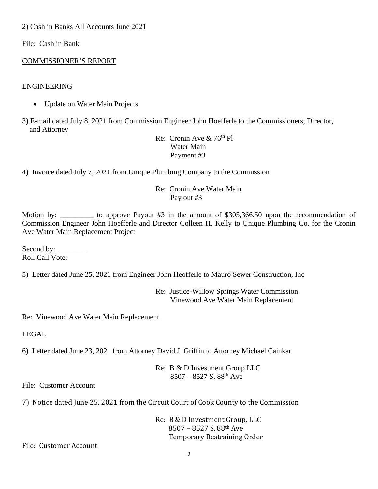2) Cash in Banks All Accounts June 2021

File: Cash in Bank

# COMMISSIONER'S REPORT

## ENGINEERING

• Update on Water Main Projects

3) E-mail dated July 8, 2021 from Commission Engineer John Hoefferle to the Commissioners, Director, and Attorney

Re: Cronin Ave  $& 76<sup>th</sup>$  Pl Water Main Payment #3

4) Invoice dated July 7, 2021 from Unique Plumbing Company to the Commission

## Re: Cronin Ave Water Main Pay out #3

Motion by: to approve Payout #3 in the amount of \$305,366.50 upon the recommendation of Commission Engineer John Hoefferle and Director Colleen H. Kelly to Unique Plumbing Co. for the Cronin Ave Water Main Replacement Project

Second by: \_\_\_\_\_\_\_\_ Roll Call Vote:

5) Letter dated June 25, 2021 from Engineer John Heofferle to Mauro Sewer Construction, Inc

Re: Justice-Willow Springs Water Commission Vinewood Ave Water Main Replacement

Re: Vinewood Ave Water Main Replacement

LEGAL

6) Letter dated June 23, 2021 from Attorney David J. Griffin to Attorney Michael Cainkar

Re: B & D Investment Group LLC  $8507 - 8527$  S.  $88^{th}$  Ave

File: Customer Account

7) Notice dated June 25, 2021 from the Circuit Court of Cook County to the Commission

Re: B & D Investment Group, LLC 8507 – 8527 S. 88th Ave Temporary Restraining Order

File: Customer Account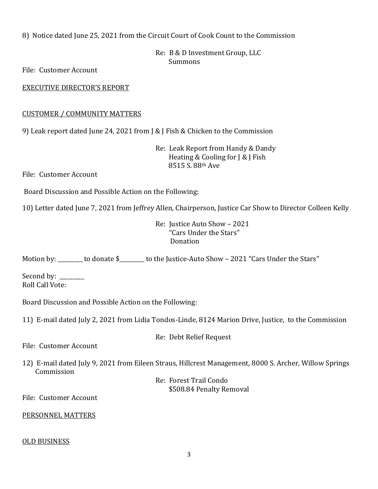8) Notice dated June 25, 2021 from the Circuit Court of Cook Count to the Commission

Re: B & D Investment Group, LLC Summons

File: Customer Account

EXECUTIVE DIRECTOR'S REPORT

# CUSTOMER / COMMUNITY MATTERS

9) Leak report dated June 24, 2021 from J & J Fish & Chicken to the Commission

Re: Leak Report from Handy & Dandy Heating & Cooling for J & J Fish 8515 S. 88th Ave

File: Customer Account

Board Discussion and Possible Action on the Following:

10) Letter dated June 7, 2021 from Jeffrey Allen, Chairperson, Justice Car Show to Director Colleen Kelly

Re: Justice Auto Show – 2021 "Cars Under the Stars" Donation

Motion by: to donate \$ Lo the Justice-Auto Show – 2021 "Cars Under the Stars"

Second by: \_\_\_\_\_\_\_\_\_\_ Roll Call Vote:

Board Discussion and Possible Action on the Following:

11) E-mail dated July 2, 2021 from Lidia Tondos-Linde, 8124 Marion Drive, Justice, to the Commission

Re: Debt Relief Request

File: Customer Account

12) E-mail dated July 9, 2021 from Eileen Straus, Hillcrest Management, 8000 S. Archer, Willow Springs Commission

> Re: Forest Trail Condo \$508.84 Penalty Removal

File: Customer Account

# PERSONNEL MATTERS

# OLD BUSINESS